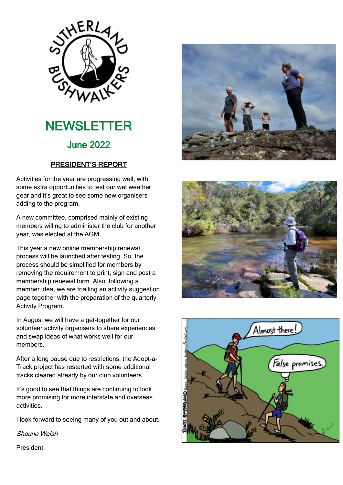

# **NEWSLETTER** June 2022

# PRESIDENT'S REPORT

Activities for the year are progressing well, with some extra opportunities to test our wet weather gear and it's great to see some new organisers adding to the program.

A new committee, comprised mainly of existing members willing to administer the club for another year, was elected at the AGM.

This year a new online membership renewal process will be launched after testing. So, the process should be simplified for members by removing the requirement to print, sign and post a membership renewal form. Also, following a member idea, we are trialling an activity suggestion page together with the preparation of the quarterly Activity Program.

In August we will have a get-together for our volunteer activity organisers to share experiences and swap ideas of what works well for our members.

After a long pause due to restrictions, the Adopt-a-Track project has restarted with some additional tracks cleared already by our club volunteers.

It's good to see that things are continuing to look more promising for more interstate and overseas activities.

I look forward to seeing many of you out and about.

Shaune Walsh





President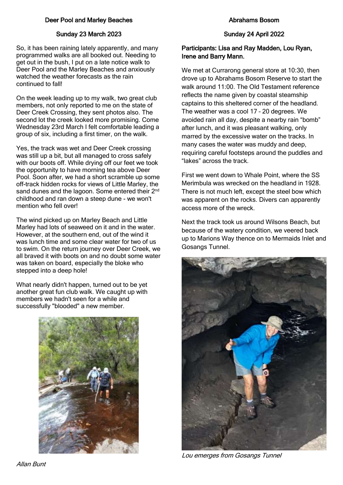# Deer Pool and Marley Beaches

# Sunday 23 March 2023

So, it has been raining lately apparently, and many programmed walks are all booked out. Needing to get out in the bush, I put on a late notice walk to Deer Pool and the Marley Beaches and anxiously watched the weather forecasts as the rain continued to fall!

On the week leading up to my walk, two great club members, not only reported to me on the state of Deer Creek Crossing, they sent photos also. The second lot the creek looked more promising. Come Wednesday 23rd March I felt comfortable leading a group of six, including a first timer, on the walk.

Yes, the track was wet and Deer Creek crossing was still up a bit, but all managed to cross safely with our boots off. While drying off our feet we took the opportunity to have morning tea above Deer Pool. Soon after, we had a short scramble up some off-track hidden rocks for views of Little Marley, the sand dunes and the lagoon. Some entered their 2<sup>nd</sup> childhood and ran down a steep dune - we won't mention who fell over!

The wind picked up on Marley Beach and Little Marley had lots of seaweed on it and in the water. However, at the southern end, out of the wind it was lunch time and some clear water for two of us to swim. On the return journey over Deer Creek, we all braved it with boots on and no doubt some water was taken on board, especially the bloke who stepped into a deep hole!

What nearly didn't happen, turned out to be yet another great fun club walk. We caught up with members we hadn't seen for a while and successfully "blooded" a new member.



#### Sunday 24 April 2022

### Participants: Lisa and Ray Madden, Lou Ryan, Irene and Barry Mann.

We met at Currarong general store at 10:30, then drove up to Abrahams Bosom Reserve to start the walk around 11:00. The Old Testament reference reflects the name given by coastal steamship captains to this sheltered corner of the headland. The weather was a cool 17 – 20 degrees. We avoided rain all day, despite a nearby rain "bomb" after lunch, and it was pleasant walking, only marred by the excessive water on the tracks. In many cases the water was muddy and deep, requiring careful footsteps around the puddles and "lakes" across the track.

First we went down to Whale Point, where the SS Merimbula was wrecked on the headland in 1928. There is not much left, except the steel bow which was apparent on the rocks. Divers can apparently access more of the wreck.

Next the track took us around Wilsons Beach, but because of the watery condition, we veered back up to Marions Way thence on to Mermaids Inlet and Gosangs Tunnel.



Lou emerges from Gosangs Tunnel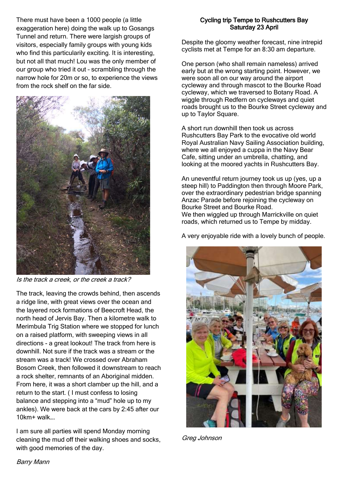There must have been a 1000 people (a little exaggeration here) doing the walk up to Gosangs Tunnel and return. There were largish groups of visitors, especially family groups with young kids who find this particularily exciting. It is interesting, but not all that much! Lou was the only member of our group who tried it out – scrambling through the narrow hole for 20m or so, to experience the views from the rock shelf on the far side.



Is the track a creek, or the creek a track?

The track, leaving the crowds behind, then ascends a ridge line, with great views over the ocean and the layered rock formations of Beecroft Head, the north head of Jervis Bay. Then a kilometre walk to Merimbula Trig Station where we stopped for lunch on a raised platform, with sweeping views in all directions - a great lookout! The track from here is downhill. Not sure if the track was a stream or the stream was a track! We crossed over Abraham Bosom Creek, then followed it downstream to reach a rock shelter, remnants of an Aboriginal midden. From here, it was a short clamber up the hill, and a return to the start. ( I must confess to losing balance and stepping into a "mud" hole up to my ankles). We were back at the cars by 2:45 after our 10km+ walk….

I am sure all parties will spend Monday morning cleaning the mud off their walking shoes and socks, with good memories of the day.

### Cycling trip Tempe to Rushcutters Bay Saturday 23 April

Despite the gloomy weather forecast, nine intrepid cyclists met at Tempe for an 8:30 am departure.

One person (who shall remain nameless) arrived early but at the wrong starting point. However, we were soon all on our way around the airport cycleway and through mascot to the Bourke Road cycleway, which we traversed to Botany Road. A wiggle through Redfern on cycleways and quiet roads brought us to the Bourke Street cycleway and up to Taylor Square.

A short run downhill then took us across Rushcutters Bay Park to the evocative old world Royal Australian Navy Sailing Association building, where we all enjoyed a cuppa in the Navy Bear Cafe, sitting under an umbrella, chatting, and looking at the moored yachts in Rushcutters Bay.

An uneventful return journey took us up (yes, up a steep hill) to Paddington then through Moore Park, over the extraordinary pedestrian bridge spanning Anzac Parade before rejoining the cycleway on Bourke Street and Bourke Road. We then wiggled up through Marrickville on quiet roads, which returned us to Tempe by midday.

A very enjoyable ride with a lovely bunch of people.



Greg Johnson

Barry Mann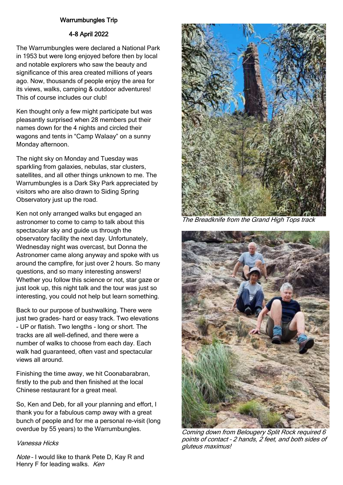# Warrumbungles Trip

# 4-8 April 2022

The Warrumbungles were declared a National Park in 1953 but were long enjoyed before then by local and notable explorers who saw the beauty and significance of this area created millions of years ago. Now, thousands of people enjoy the area for its views, walks, camping & outdoor adventures! This of course includes our club!

Ken thought only a few might participate but was pleasantly surprised when 28 members put their names down for the 4 nights and circled their wagons and tents in "Camp Walaay" on a sunny Monday afternoon.

The night sky on Monday and Tuesday was sparkling from galaxies, nebulas, star clusters, satellites, and all other things unknown to me. The Warrumbungles is a Dark Sky Park appreciated by visitors who are also drawn to Siding Spring Observatory just up the road.

Ken not only arranged walks but engaged an astronomer to come to camp to talk about this spectacular sky and guide us through the observatory facility the next day. Unfortunately, Wednesday night was overcast, but Donna the Astronomer came along anyway and spoke with us around the campfire, for just over 2 hours. So many questions, and so many interesting answers! Whether you follow this science or not, star gaze or just look up, this night talk and the tour was just so interesting, you could not help but learn something.

Back to our purpose of bushwalking. There were just two grades- hard or easy track. Two elevations - UP or flatish. Two lengths - long or short. The tracks are all well-defined, and there were a number of walks to choose from each day. Each walk had guaranteed, often vast and spectacular views all around.

Finishing the time away, we hit Coonabarabran, firstly to the pub and then finished at the local Chinese restaurant for a great meal.

So, Ken and Deb, for all your planning and effort, I thank you for a fabulous camp away with a great bunch of people and for me a personal re-visit (long overdue by 55 years) to the Warrumbungles.

#### Vanessa Hicks

Note - I would like to thank Pete D, Kay R and Henry F for leading walks. Ken



The Breadknife from the Grand High Tops track



Coming down from Belougery Split Rock required 6 points of contact – 2 hands, 2 feet, and both sides of gluteus maximus!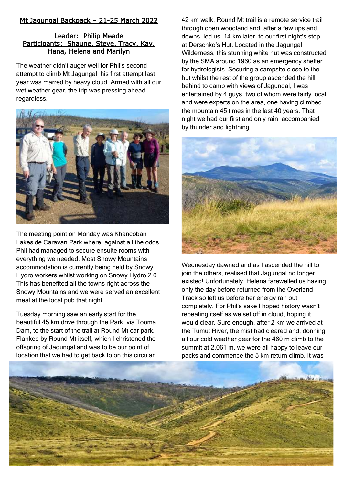# Mt Jagungal Backpack – 21-25 March 2022

# Leader: Philip Meade Participants: Shaune, Steve, Tracy, Kay, Hana, Helena and Marilyn

The weather didn't auger well for Phil's second attempt to climb Mt Jagungal, his first attempt last year was marred by heavy cloud. Armed with all our wet weather gear, the trip was pressing ahead regardless.



The meeting point on Monday was Khancoban Lakeside Caravan Park where, against all the odds, Phil had managed to secure ensuite rooms with everything we needed. Most Snowy Mountains accommodation is currently being held by Snowy Hydro workers whilst working on Snowy Hydro 2.0. This has benefited all the towns right across the Snowy Mountains and we were served an excellent meal at the local pub that night.

Tuesday morning saw an early start for the beautiful 45 km drive through the Park, via Tooma Dam, to the start of the trail at Round Mt car park. Flanked by Round Mt itself, which I christened the offspring of Jagungal and was to be our point of location that we had to get back to on this circular

42 km walk, Round Mt trail is a remote service trail through open woodland and, after a few ups and downs, led us, 14 km later, to our first night's stop at Derschko's Hut. Located in the Jagungal Wilderness, this stunning white hut was constructed by the SMA around 1960 as an emergency shelter for hydrologists. Securing a campsite close to the hut whilst the rest of the group ascended the hill behind to camp with views of Jagungal, I was entertained by 4 guys, two of whom were fairly local and were experts on the area, one having climbed the mountain 45 times in the last 40 years. That night we had our first and only rain, accompanied by thunder and lightning.



Wednesday dawned and as I ascended the hill to join the others, realised that Jagungal no longer existed! Unfortunately, Helena farewelled us having only the day before returned from the Overland Track so left us before her energy ran out completely. For Phil's sake I hoped history wasn't repeating itself as we set off in cloud, hoping it would clear. Sure enough, after 2 km we arrived at the Tumut River, the mist had cleared and, donning all our cold weather gear for the 460 m climb to the summit at 2,061 m, we were all happy to leave our packs and commence the 5 km return climb. It was

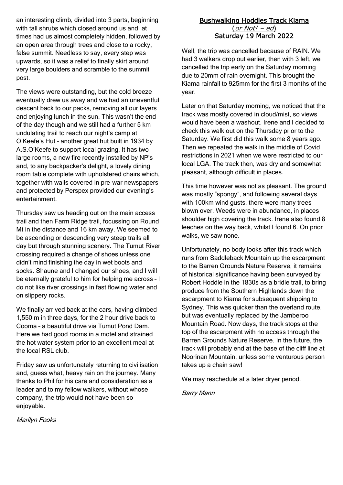an interesting climb, divided into 3 parts, beginning with tall shrubs which closed around us and, at times had us almost completely hidden, followed by an open area through trees and close to a rocky, false summit. Needless to say, every step was upwards, so it was a relief to finally skirt around very large boulders and scramble to the summit post.

The views were outstanding, but the cold breeze eventually drew us away and we had an uneventful descent back to our packs, removing all our layers and enjoying lunch in the sun. This wasn't the end of the day though and we still had a further 5 km undulating trail to reach our night's camp at O'Keefe's Hut – another great hut built in 1934 by A.S.O'Keefe to support local grazing. It has two large rooms, a new fire recently installed by NP's and, to any backpacker's delight, a lovely dining room table complete with upholstered chairs which, together with walls covered in pre-war newspapers and protected by Perspex provided our evening's entertainment.

Thursday saw us heading out on the main access trail and then Farm Ridge trail, focussing on Round Mt in the distance and 16 km away. We seemed to be ascending or descending very steep trails all day but through stunning scenery. The Tumut River crossing required a change of shoes unless one didn't mind finishing the day in wet boots and socks. Shaune and I changed our shoes, and I will be eternally grateful to him for helping me across – I do not like river crossings in fast flowing water and on slippery rocks.

We finally arrived back at the cars, having climbed 1,550 m in three days, for the 2 hour drive back to Cooma – a beautiful drive via Tumut Pond Dam. Here we had good rooms in a motel and strained the hot water system prior to an excellent meal at the local RSL club.

Friday saw us unfortunately returning to civilisation and, guess what, heavy rain on the journey. Many thanks to Phil for his care and consideration as a leader and to my fellow walkers, without whose company, the trip would not have been so enjoyable.

Bushwalking Hoddles Track Kiama  $(or Not! - ed)$ Saturday 19 March 2022

Well, the trip was cancelled because of RAIN. We had 3 walkers drop out earlier, then with 3 left, we cancelled the trip early on the Saturday morning due to 20mm of rain overnight. This brought the Kiama rainfall to 925mm for the first 3 months of the year.

Later on that Saturday morning, we noticed that the track was mostly covered in cloud/mist, so views would have been a washout. Irene and I decided to check this walk out on the Thursday prior to the Saturday. We first did this walk some 8 years ago. Then we repeated the walk in the middle of Covid restrictions in 2021 when we were restricted to our local LGA. The track then, was dry and somewhat pleasant, although difficult in places.

This time however was not as pleasant. The ground was mostly "spongy", and following several days with 100km wind gusts, there were many trees blown over. Weeds were in abundance, in places shoulder high covering the track. Irene also found 8 leeches on the way back, whilst I found 6. On prior walks, we saw none.

Unfortunately, no body looks after this track which runs from Saddleback Mountain up the escarpment to the Barren Grounds Nature Reserve, it remains of historical significance having been surveyed by Robert Hoddle in the 1830s as a bridle trail, to bring produce from the Southern Highlands down the escarpment to Kiama for subsequent shipping to Sydney. This was quicker than the overland route. but was eventually replaced by the Jamberoo Mountain Road. Now days, the track stops at the top of the escarpment with no access through the Barren Grounds Nature Reserve. In the future, the track will probably end at the base of the cliff line at Noorinan Mountain, unless some venturous person takes up a chain saw!

We may reschedule at a later dryer period.

Barry Mann

Marilyn Fooks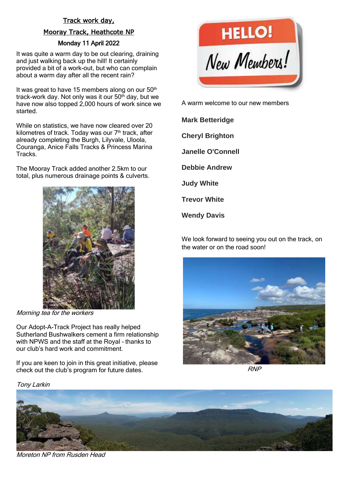# Track work day, Mooray Track, Heathcote NP Monday 11 April 2022

It was quite a warm day to be out clearing, draining and just walking back up the hill! It certainly provided a bit of a work-out, but who can complain about a warm day after all the recent rain?

It was great to have 15 members along on our  $50<sup>th</sup>$ track-work day. Not only was it our  $50<sup>th</sup>$  day, but we have now also topped 2,000 hours of work since we started.

While on statistics, we have now cleared over 20 kilometres of track. Today was our 7<sup>th</sup> track, after already completing the Burgh, Lilyvale, Uloola, Couranga, Anice Falls Tracks & Princess Marina **Tracks** 

The Mooray Track added another 2.5km to our total, plus numerous drainage points & culverts.



Morning tea for the workers

Our Adopt-A-Track Project has really helped Sutherland Bushwalkers cement a firm relationship with NPWS and the staff at the Royal – thanks to our club's hard work and commitment.

If you are keen to join in this great initiative, please check out the club's program for future dates.

#### Tony Larkin



A warm welcome to our new members

**Mark Betteridge Cheryl Brighton Janelle O'Connell Debbie Andrew Judy White Trevor White**

**Wendy Davis**

We look forward to seeing you out on the track, on the water or on the road soon!



RNP



Moreton NP from Rusden Head